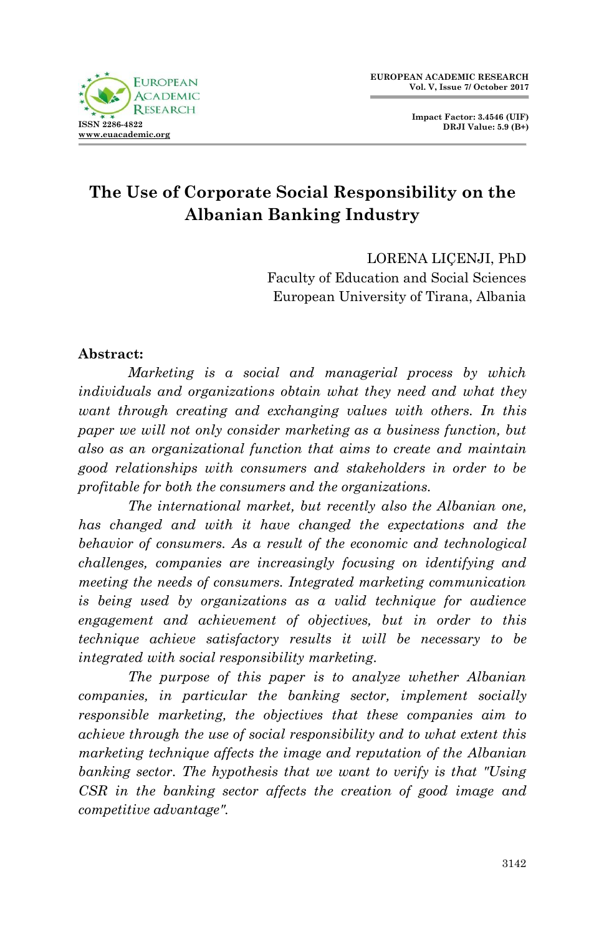

**Impact Factor: 3.4546 (UIF) DRJI Value: 5.9 (B+)**

# **The Use of Corporate Social Responsibility on the Albanian Banking Industry**

LORENA LIÇENJI, PhD Faculty of Education and Social Sciences European University of Tirana, Albania

### **Abstract:**

*Marketing is a social and managerial process by which individuals and organizations obtain what they need and what they want through creating and exchanging values with others. In this paper we will not only consider marketing as a business function, but also as an organizational function that aims to create and maintain good relationships with consumers and stakeholders in order to be profitable for both the consumers and the organizations.* 

*The international market, but recently also the Albanian one, has changed and with it have changed the expectations and the behavior of consumers. As a result of the economic and technological challenges, companies are increasingly focusing on identifying and meeting the needs of consumers. Integrated marketing communication is being used by organizations as a valid technique for audience engagement and achievement of objectives, but in order to this technique achieve satisfactory results it will be necessary to be integrated with social responsibility marketing.*

*The purpose of this paper is to analyze whether Albanian companies, in particular the banking sector, implement socially responsible marketing, the objectives that these companies aim to achieve through the use of social responsibility and to what extent this marketing technique affects the image and reputation of the Albanian banking sector. The hypothesis that we want to verify is that "Using CSR in the banking sector affects the creation of good image and competitive advantage".*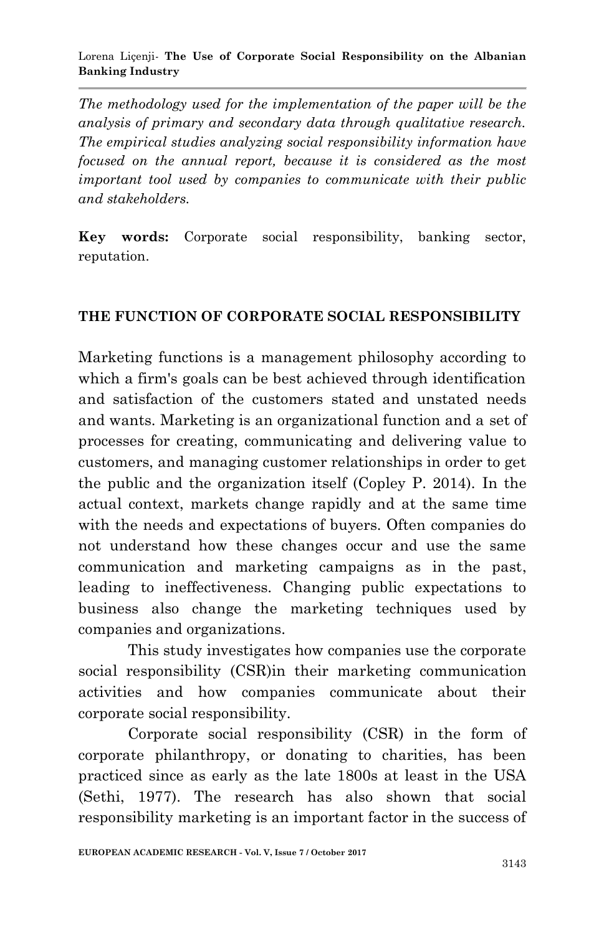*The methodology used for the implementation of the paper will be the analysis of primary and secondary data through qualitative research. The empirical studies analyzing social responsibility information have focused on the annual report, because it is considered as the most important tool used by companies to communicate with their public and stakeholders.*

**Key words:** Corporate social responsibility, banking sector, reputation.

### **THE FUNCTION OF CORPORATE SOCIAL RESPONSIBILITY**

Marketing functions is a management philosophy according to which a firm's goals can be best achieved through identification and satisfaction of the customers stated and unstated needs and wants. Marketing is an organizational function and a set of processes for creating, communicating and delivering value to customers, and managing customer relationships in order to get the public and the organization itself (Copley P. 2014). In the actual context, markets change rapidly and at the same time with the needs and expectations of buyers. Often companies do not understand how these changes occur and use the same communication and marketing campaigns as in the past, leading to ineffectiveness. Changing public expectations to business also change the marketing techniques used by companies and organizations.

This study investigates how companies use the corporate social responsibility (CSR)in their marketing communication activities and how companies communicate about their corporate social responsibility.

Corporate social responsibility (CSR) in the form of corporate philanthropy, or donating to charities, has been practiced since as early as the late 1800s at least in the USA (Sethi, 1977). The research has also shown that social responsibility marketing is an important factor in the success of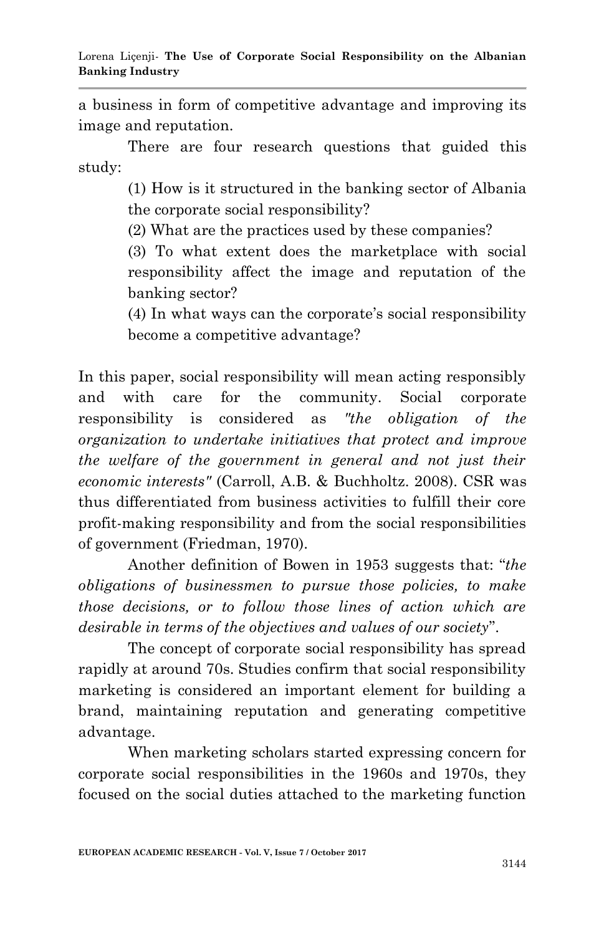a business in form of competitive advantage and improving its image and reputation.

There are four research questions that guided this study:

> (1) How is it structured in the banking sector of Albania the corporate social responsibility?

(2) What are the practices used by these companies?

(3) To what extent does the marketplace with social responsibility affect the image and reputation of the banking sector?

(4) In what ways can the corporate"s social responsibility become a competitive advantage?

In this paper, social responsibility will mean acting responsibly and with care for the community. Social corporate responsibility is considered as *"the obligation of the organization to undertake initiatives that protect and improve the welfare of the government in general and not just their economic interests"* (Carroll, A.B. & Buchholtz. 2008). CSR was thus differentiated from business activities to fulfill their core profit-making responsibility and from the social responsibilities of government (Friedman, 1970).

Another definition of Bowen in 1953 suggests that: "*the obligations of businessmen to pursue those policies, to make those decisions, or to follow those lines of action which are desirable in terms of the objectives and values of our society*".

The concept of corporate social responsibility has spread rapidly at around 70s. Studies confirm that social responsibility marketing is considered an important element for building a brand, maintaining reputation and generating competitive advantage.

When marketing scholars started expressing concern for corporate social responsibilities in the 1960s and 1970s, they focused on the social duties attached to the marketing function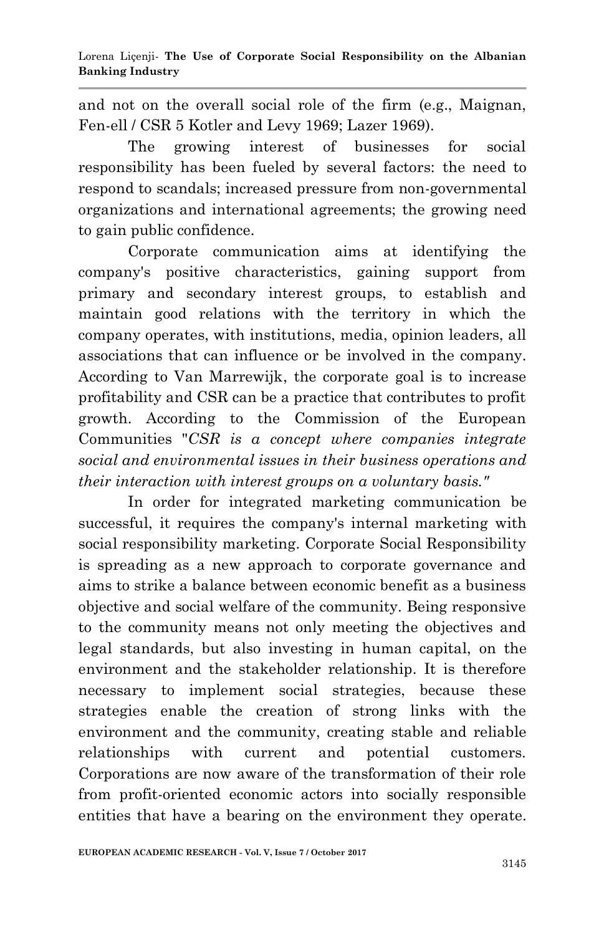and not on the overall social role of the firm (e.g., Maignan, Fen-ell / CSR 5 Kotler and Levy 1969; Lazer 1969).

The growing interest of businesses for social responsibility has been fueled by several factors: the need to respond to scandals; increased pressure from non-governmental organizations and international agreements; the growing need to gain public confidence.

Corporate communication aims at identifying the company's positive characteristics, gaining support from primary and secondary interest groups, to establish and maintain good relations with the territory in which the company operates, with institutions, media, opinion leaders, all associations that can influence or be involved in the company. According to Van Marrewijk, the corporate goal is to increase profitability and CSR can be a practice that contributes to profit growth. According to the Commission of the European Communities "*CSR is a concept where companies integrate social and environmental issues in their business operations and their interaction with interest groups on a voluntary basis."*

In order for integrated marketing communication be successful, it requires the company's internal marketing with social responsibility marketing. Corporate Social Responsibility is spreading as a new approach to corporate governance and aims to strike a balance between economic benefit as a business objective and social welfare of the community. Being responsive to the community means not only meeting the objectives and legal standards, but also investing in human capital, on the environment and the stakeholder relationship. It is therefore necessary to implement social strategies, because these strategies enable the creation of strong links with the environment and the community, creating stable and reliable relationships with current and potential customers. Corporations are now aware of the transformation of their role from profit-oriented economic actors into socially responsible entities that have a bearing on the environment they operate.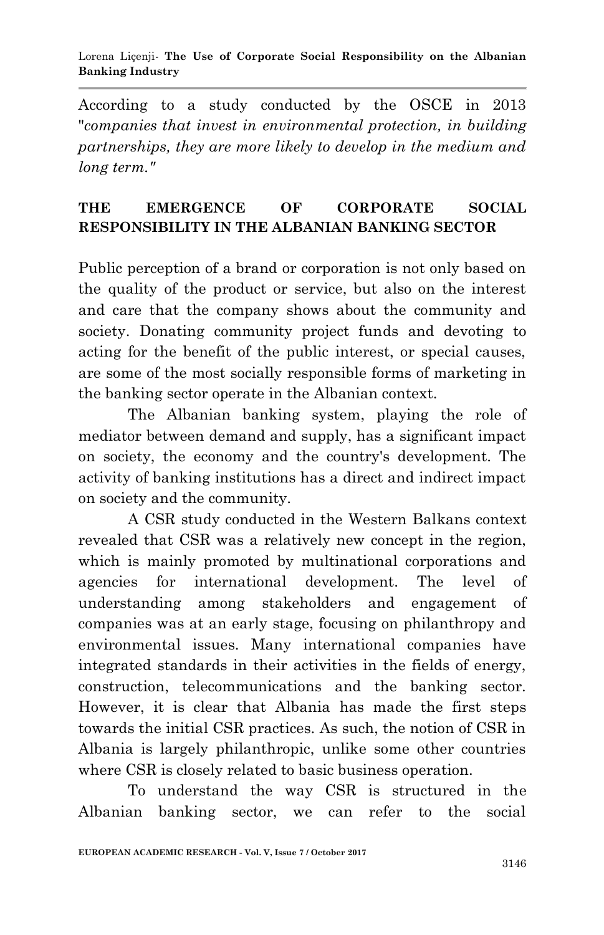#### Lorena Liçenji*-* **The Use of Corporate Social Responsibility on the Albanian Banking Industry**

According to a study conducted by the OSCE in 2013 "*companies that invest in environmental protection, in building partnerships, they are more likely to develop in the medium and long term."*

## **THE EMERGENCE OF CORPORATE SOCIAL RESPONSIBILITY IN THE ALBANIAN BANKING SECTOR**

Public perception of a brand or corporation is not only based on the quality of the product or service, but also on the interest and care that the company shows about the community and society. Donating community project funds and devoting to acting for the benefit of the public interest, or special causes, are some of the most socially responsible forms of marketing in the banking sector operate in the Albanian context.

The Albanian banking system, playing the role of mediator between demand and supply, has a significant impact on society, the economy and the country's development. The activity of banking institutions has a direct and indirect impact on society and the community.

A CSR study conducted in the Western Balkans context revealed that CSR was a relatively new concept in the region, which is mainly promoted by multinational corporations and agencies for international development. The level of understanding among stakeholders and engagement of companies was at an early stage, focusing on philanthropy and environmental issues. Many international companies have integrated standards in their activities in the fields of energy, construction, telecommunications and the banking sector. However, it is clear that Albania has made the first steps towards the initial CSR practices. As such, the notion of CSR in Albania is largely philanthropic, unlike some other countries where CSR is closely related to basic business operation.

To understand the way CSR is structured in the Albanian banking sector, we can refer to the social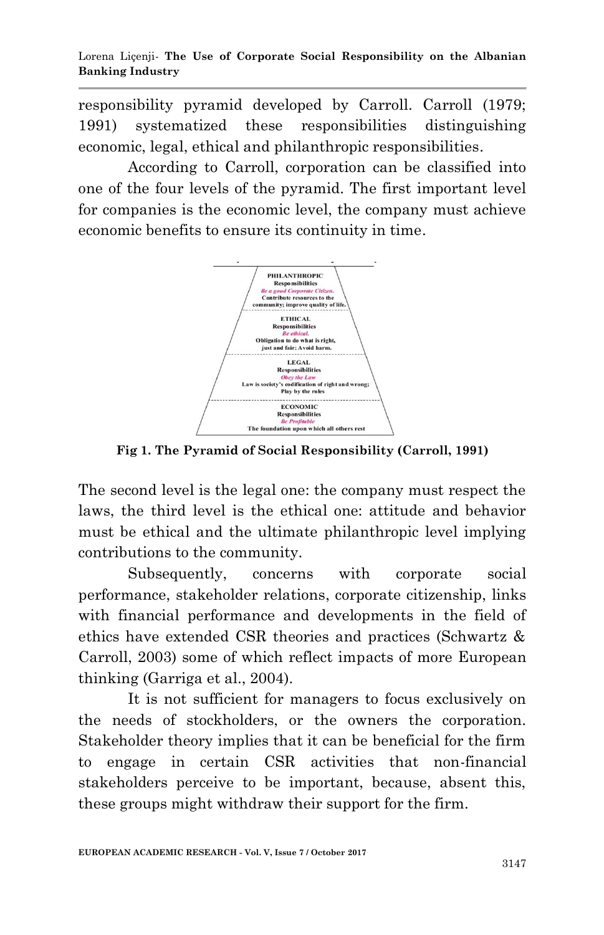responsibility pyramid developed by Carroll. Carroll (1979; 1991) systematized these responsibilities distinguishing economic, legal, ethical and philanthropic responsibilities.

According to Carroll, corporation can be classified into one of the four levels of the pyramid. The first important level for companies is the economic level, the company must achieve economic benefits to ensure its continuity in time.



**Fig 1. The Pyramid of Social Responsibility (Carroll, 1991)**

The second level is the legal one: the company must respect the laws, the third level is the ethical one: attitude and behavior must be ethical and the ultimate philanthropic level implying contributions to the community.

Subsequently, concerns with corporate social performance, stakeholder relations, corporate citizenship, links with financial performance and developments in the field of ethics have extended CSR theories and practices (Schwartz & Carroll, 2003) some of which reflect impacts of more European thinking (Garriga et al., 2004).

It is not sufficient for managers to focus exclusively on the needs of stockholders, or the owners the corporation. Stakeholder theory implies that it can be beneficial for the firm to engage in certain CSR activities that non-financial stakeholders perceive to be important, because, absent this, these groups might withdraw their support for the firm.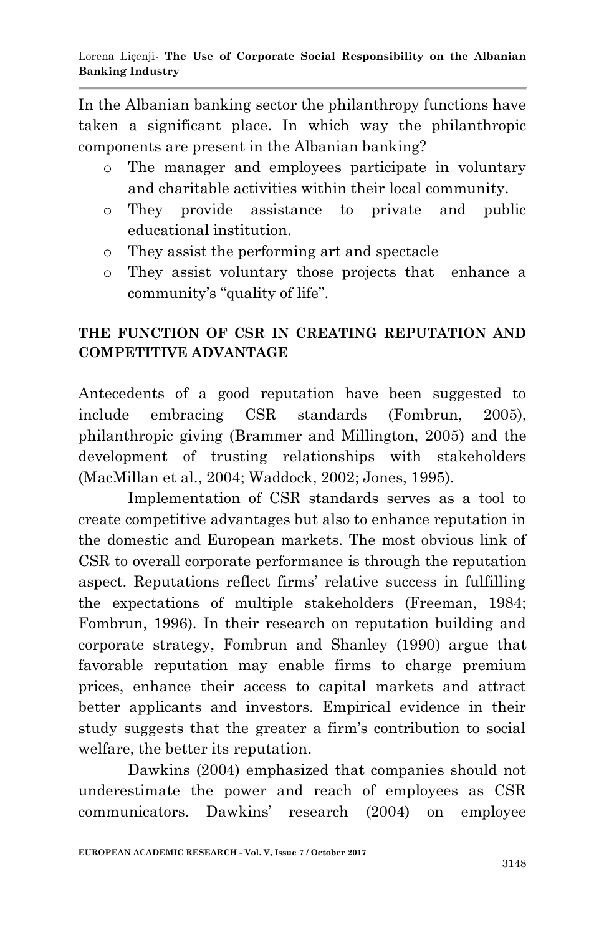In the Albanian banking sector the philanthropy functions have taken a significant place. In which way the philanthropic components are present in the Albanian banking?

- o The manager and employees participate in voluntary and charitable activities within their local community.
- o They provide assistance to private and public educational institution.
- o They assist the performing art and spectacle
- o They assist voluntary those projects that enhance a community's "quality of life".

## **THE FUNCTION OF CSR IN CREATING REPUTATION AND COMPETITIVE ADVANTAGE**

Antecedents of a good reputation have been suggested to include embracing CSR standards (Fombrun, 2005), philanthropic giving (Brammer and Millington, 2005) and the development of trusting relationships with stakeholders (MacMillan et al., 2004; Waddock, 2002; Jones, 1995).

Implementation of CSR standards serves as a tool to create competitive advantages but also to enhance reputation in the domestic and European markets. The most obvious link of CSR to overall corporate performance is through the reputation aspect. Reputations reflect firms' relative success in fulfilling the expectations of multiple stakeholders (Freeman, 1984; Fombrun, 1996). In their research on reputation building and corporate strategy, Fombrun and Shanley (1990) argue that favorable reputation may enable firms to charge premium prices, enhance their access to capital markets and attract better applicants and investors. Empirical evidence in their study suggests that the greater a firm"s contribution to social welfare, the better its reputation.

Dawkins (2004) emphasized that companies should not underestimate the power and reach of employees as CSR communicators. Dawkins" research (2004) on employee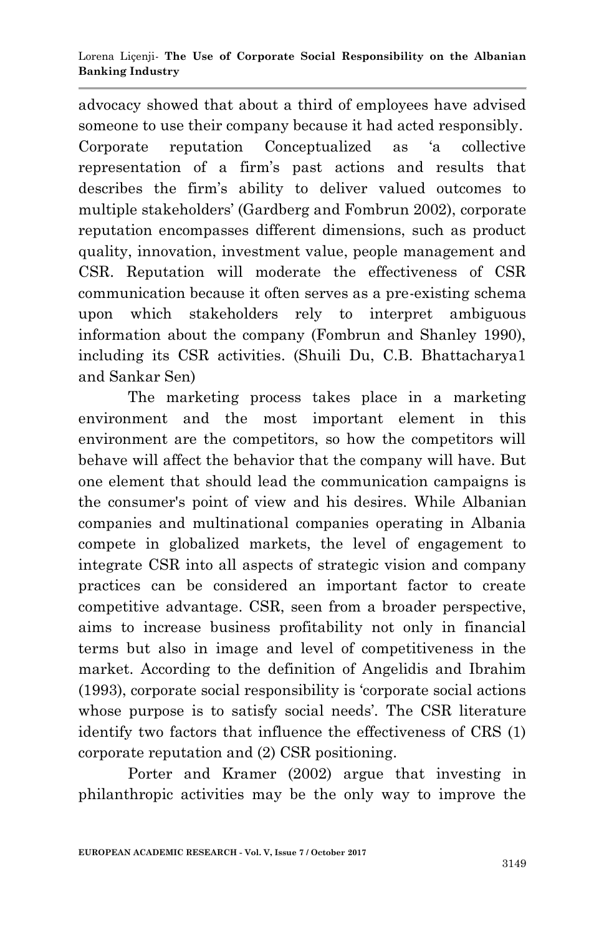advocacy showed that about a third of employees have advised someone to use their company because it had acted responsibly. Corporate reputation Conceptualized as "a collective representation of a firm"s past actions and results that describes the firm"s ability to deliver valued outcomes to multiple stakeholders" (Gardberg and Fombrun 2002), corporate reputation encompasses different dimensions, such as product quality, innovation, investment value, people management and CSR. Reputation will moderate the effectiveness of CSR communication because it often serves as a pre-existing schema upon which stakeholders rely to interpret ambiguous information about the company (Fombrun and Shanley 1990), including its CSR activities. (Shuili Du, C.B. Bhattacharya1 and Sankar Sen)

The marketing process takes place in a marketing environment and the most important element in this environment are the competitors, so how the competitors will behave will affect the behavior that the company will have. But one element that should lead the communication campaigns is the consumer's point of view and his desires. While Albanian companies and multinational companies operating in Albania compete in globalized markets, the level of engagement to integrate CSR into all aspects of strategic vision and company practices can be considered an important factor to create competitive advantage. CSR, seen from a broader perspective, aims to increase business profitability not only in financial terms but also in image and level of competitiveness in the market. According to the definition of Angelidis and Ibrahim (1993), corporate social responsibility is "corporate social actions whose purpose is to satisfy social needs'. The CSR literature identify two factors that influence the effectiveness of CRS (1) corporate reputation and (2) CSR positioning.

Porter and Kramer (2002) argue that investing in philanthropic activities may be the only way to improve the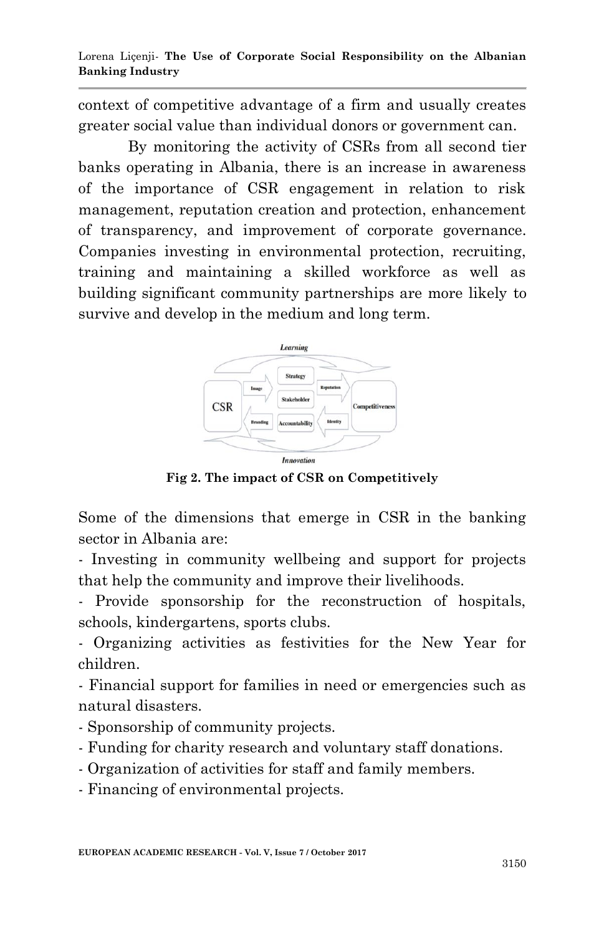context of competitive advantage of a firm and usually creates greater social value than individual donors or government can.

By monitoring the activity of CSRs from all second tier banks operating in Albania, there is an increase in awareness of the importance of CSR engagement in relation to risk management, reputation creation and protection, enhancement of transparency, and improvement of corporate governance. Companies investing in environmental protection, recruiting, training and maintaining a skilled workforce as well as building significant community partnerships are more likely to survive and develop in the medium and long term.



**Fig 2. The impact of CSR on Competitively**

Some of the dimensions that emerge in CSR in the banking sector in Albania are:

- Investing in community wellbeing and support for projects that help the community and improve their livelihoods.

- Provide sponsorship for the reconstruction of hospitals, schools, kindergartens, sports clubs.

- Organizing activities as festivities for the New Year for children.

- Financial support for families in need or emergencies such as natural disasters.

- Sponsorship of community projects.
- Funding for charity research and voluntary staff donations.
- Organization of activities for staff and family members.

- Financing of environmental projects.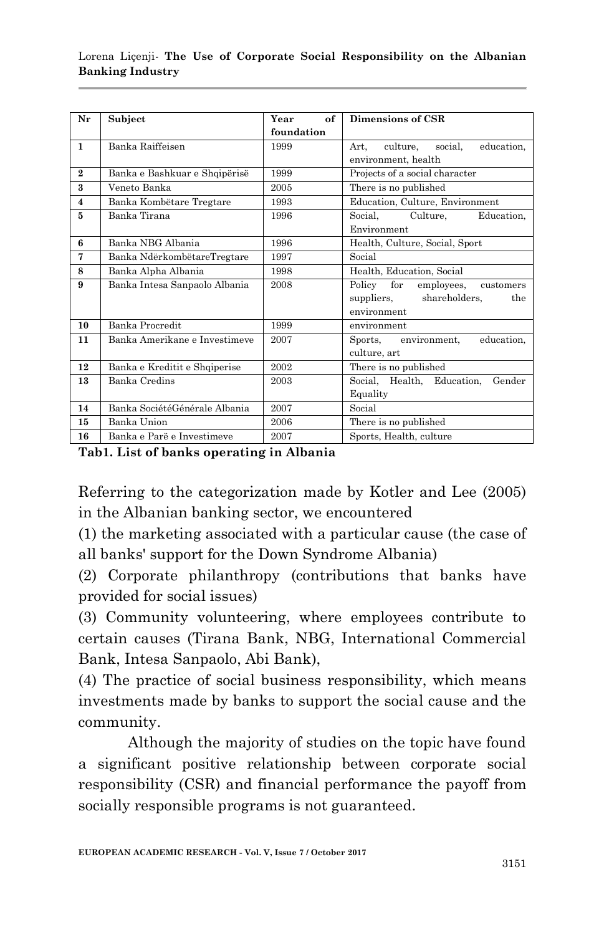#### Lorena Liçenji*-* **The Use of Corporate Social Responsibility on the Albanian Banking Industry**

| Nr                      | Subject                       | Year<br>of | Dimensions of CSR                         |  |  |  |
|-------------------------|-------------------------------|------------|-------------------------------------------|--|--|--|
|                         |                               | foundation |                                           |  |  |  |
| $\mathbf{1}$            | Banka Raiffeisen              | 1999       | social.<br>education,<br>Art.<br>culture, |  |  |  |
|                         |                               |            | environment, health                       |  |  |  |
| $\mathbf{2}$            | Banka e Bashkuar e Shqipërisë | 1999       | Projects of a social character            |  |  |  |
| $\overline{\mathbf{3}}$ | Veneto Banka                  | 2005       | There is no published                     |  |  |  |
| $\overline{4}$          | Banka Kombëtare Tregtare      | 1993       | Education, Culture, Environment           |  |  |  |
| 5                       | Banka Tirana                  | 1996       | Education,<br>Social.<br>Culture,         |  |  |  |
|                         |                               |            | Environment                               |  |  |  |
| 6                       | Banka NBG Albania             | 1996       | Health, Culture, Social, Sport            |  |  |  |
| 7                       | Banka NdërkombëtareTregtare   | 1997       | Social                                    |  |  |  |
| 8                       | Banka Alpha Albania           | 1998       | Health, Education, Social                 |  |  |  |
| 9                       | Banka Intesa Sanpaolo Albania | 2008       | Policy for<br>employees,<br>customers     |  |  |  |
|                         |                               |            | shareholders,<br>suppliers,<br>the        |  |  |  |
|                         |                               |            | environment                               |  |  |  |
| 10                      | Banka Procredit               | 1999       | environment                               |  |  |  |
| 11                      | Banka Amerikane e Investimeve | 2007       | environment.<br>education.<br>Sports,     |  |  |  |
|                         |                               |            | culture, art                              |  |  |  |
| 12                      | Banka e Kreditit e Shqiperise | 2002       | There is no published                     |  |  |  |
| 13                      | Banka Credins                 | 2003       | Social, Health, Education,<br>Gender      |  |  |  |
|                         |                               |            | Equality                                  |  |  |  |
| 14                      | Banka SociétéGénérale Albania | 2007       | Social                                    |  |  |  |
| 15                      | Banka Union                   | 2006       | There is no published                     |  |  |  |
| 16                      | Banka e Parë e Investimeve    | 2007       | Sports, Health, culture                   |  |  |  |

**Tab1. List of banks operating in Albania**

Referring to the categorization made by Kotler and Lee (2005) in the Albanian banking sector, we encountered

(1) the marketing associated with a particular cause (the case of all banks' support for the Down Syndrome Albania)

(2) Corporate philanthropy (contributions that banks have provided for social issues)

(3) Community volunteering, where employees contribute to certain causes (Tirana Bank, NBG, International Commercial Bank, Intesa Sanpaolo, Abi Bank),

(4) The practice of social business responsibility, which means investments made by banks to support the social cause and the community.

Although the majority of studies on the topic have found a significant positive relationship between corporate social responsibility (CSR) and financial performance the payoff from socially responsible programs is not guaranteed.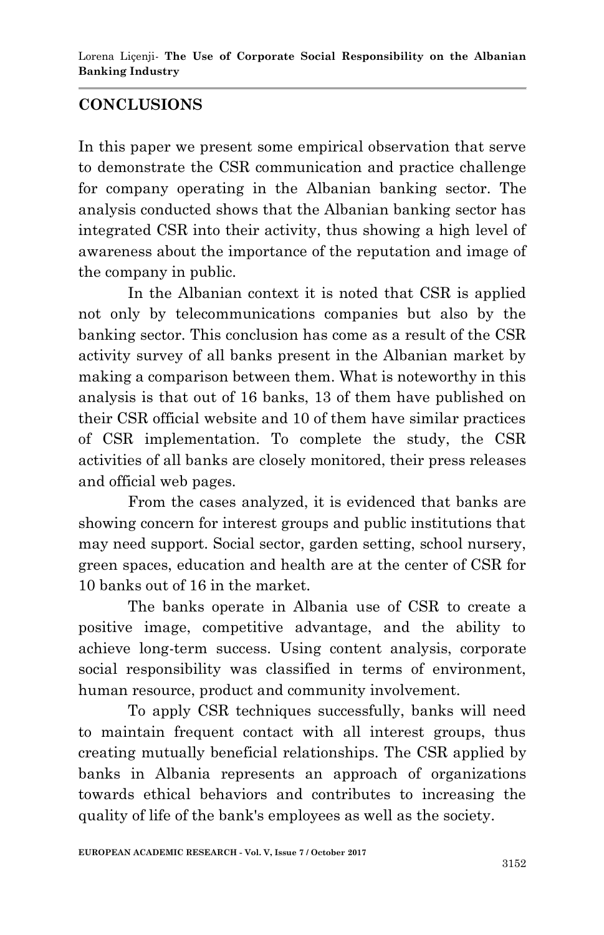## **CONCLUSIONS**

In this paper we present some empirical observation that serve to demonstrate the CSR communication and practice challenge for company operating in the Albanian banking sector. The analysis conducted shows that the Albanian banking sector has integrated CSR into their activity, thus showing a high level of awareness about the importance of the reputation and image of the company in public.

In the Albanian context it is noted that CSR is applied not only by telecommunications companies but also by the banking sector. This conclusion has come as a result of the CSR activity survey of all banks present in the Albanian market by making a comparison between them. What is noteworthy in this analysis is that out of 16 banks, 13 of them have published on their CSR official website and 10 of them have similar practices of CSR implementation. To complete the study, the CSR activities of all banks are closely monitored, their press releases and official web pages.

From the cases analyzed, it is evidenced that banks are showing concern for interest groups and public institutions that may need support. Social sector, garden setting, school nursery, green spaces, education and health are at the center of CSR for 10 banks out of 16 in the market.

The banks operate in Albania use of CSR to create a positive image, competitive advantage, and the ability to achieve long-term success. Using content analysis, corporate social responsibility was classified in terms of environment, human resource, product and community involvement.

To apply CSR techniques successfully, banks will need to maintain frequent contact with all interest groups, thus creating mutually beneficial relationships. The CSR applied by banks in Albania represents an approach of organizations towards ethical behaviors and contributes to increasing the quality of life of the bank's employees as well as the society.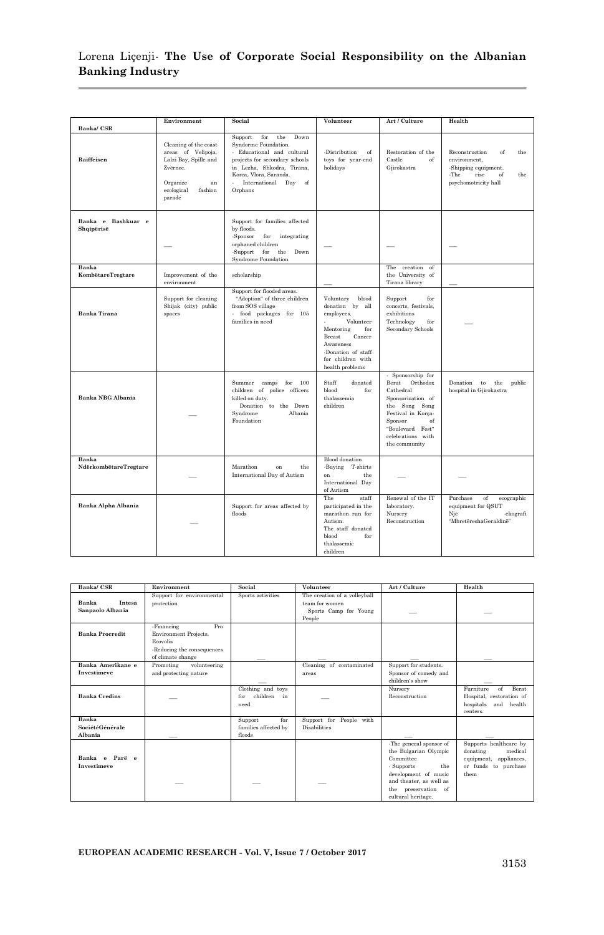### Lorena Liçenji*-* **The Use of Corporate Social Responsibility on the Albanian Banking Industry**

|                                  | Environment                                                                                                                           | Social                                                                                                                                                                                                              | Volunteer                                                                                                                                                                                    | Art / Culture                                                                                                                                                                              | Health                                                                                                                   |
|----------------------------------|---------------------------------------------------------------------------------------------------------------------------------------|---------------------------------------------------------------------------------------------------------------------------------------------------------------------------------------------------------------------|----------------------------------------------------------------------------------------------------------------------------------------------------------------------------------------------|--------------------------------------------------------------------------------------------------------------------------------------------------------------------------------------------|--------------------------------------------------------------------------------------------------------------------------|
| Banka/CSR<br>Raiffeisen          | Cleaning of the coast<br>areas of Velipoja,<br>Lalzi Bay, Spille and<br>Zvërnec.<br>Organize<br>an<br>ecological<br>fashion<br>parade | for<br>the<br>Down<br>Support<br>Syndorme Foundation.<br>- Educational and cultural<br>projects for secondary schools<br>in Lezha, Shkodra, Tirana,<br>Korca, Vlora, Saranda.<br>International Day<br>of<br>Orphans | -Distribution<br>of<br>toys for year-end<br>holidays                                                                                                                                         | Restoration of the<br>Castle<br>of<br>Gjirokastra                                                                                                                                          | Reconstruction<br>of<br>the<br>environment,<br>-Shipping equipment.<br>-The<br>rise<br>of<br>the<br>psychomotricity hall |
| Banka e Bashkuar e<br>Shqipërisë |                                                                                                                                       | Support for families affected<br>by floods.<br>-Sponsor<br>for<br>integrating<br>orphaned children<br>-Support<br>for<br>the<br>Down<br>Syndrome Foundation                                                         |                                                                                                                                                                                              |                                                                                                                                                                                            |                                                                                                                          |
| Banka<br>KombëtareTregtare       | Improvement of the<br>environment                                                                                                     | scholarship                                                                                                                                                                                                         |                                                                                                                                                                                              | The creation<br>of<br>the University of<br>Tirana library                                                                                                                                  |                                                                                                                          |
| <b>Banka Tirana</b>              | Support for cleaning<br>Shijak (city) public<br>spaces                                                                                | Support for flooded areas.<br>"Adoption" of three children<br>from SOS village<br>- food packages for 105<br>families in need                                                                                       | Voluntary<br>blood<br>donation by<br>all<br>employees.<br>Volunteer<br>÷.<br>Mentoring<br>for<br>Breast<br>Cancer<br>Awareness<br>-Donation of staff<br>for children with<br>health problems | Support<br>for<br>concerts, festivals,<br>exhibitions<br>Technology<br>for<br>Secondary Schools                                                                                            |                                                                                                                          |
| <b>Banka NBG Albania</b>         |                                                                                                                                       | Summer<br>camps<br>for<br>100<br>children of police officers<br>killed on duty.<br>Donation to the Down<br>Syndrome<br>Albania<br>Foundation                                                                        | Staff<br>donated<br>blood<br>for<br>thalassemia<br>children                                                                                                                                  | - Sponsorship for<br>Orthodox<br>Berat<br>Cathedral<br>Sponsorization of<br>the Song Song<br>Festival in Korça-<br>Sponsor<br>of<br>"Boulevard Fest"<br>celebrations with<br>the community | Donation<br>to<br>the<br>public<br>hospital in Gjirokastra                                                               |
| Banka<br>NdërkombëtareTregtare   |                                                                                                                                       | Marathon<br>on<br>the<br><b>International Day of Autism</b>                                                                                                                                                         | <b>Blood</b> donation<br>-Buying T-shirts<br>on<br>the<br>International Day<br>of Autism                                                                                                     |                                                                                                                                                                                            |                                                                                                                          |
| Banka Alpha Albania              |                                                                                                                                       | Support for areas affected by<br>floods                                                                                                                                                                             | The<br>staff<br>participated in the<br>marathon run for<br>Autism.<br>The staff donated<br>blood<br>for<br>thalassemic<br>children                                                           | Renewal of the IT<br>laboratory.<br>Nursery<br>Reconstruction                                                                                                                              | Purchase<br>of<br>ecographic<br>equipment for QSUT<br>Nië<br>ekografi<br>"MbretëreshaGeraldinë"                          |

| Banka/CSR                                  | Environment                                                                                                      | Social                                           | Volunteer                                                                         | Art / Culture                                                                                                                                                                      | Health                                                                                                     |
|--------------------------------------------|------------------------------------------------------------------------------------------------------------------|--------------------------------------------------|-----------------------------------------------------------------------------------|------------------------------------------------------------------------------------------------------------------------------------------------------------------------------------|------------------------------------------------------------------------------------------------------------|
| Intesa<br><b>Banka</b><br>Sanpaolo Albania | Support for environmental<br>protection                                                                          | Sports activities                                | The creation of a volleyball<br>team for women<br>Sports Camp for Young<br>People |                                                                                                                                                                                    |                                                                                                            |
| <b>Banka Procredit</b>                     | Pro<br>-Financing<br>Environment Projects.<br><b>Ecovolis</b><br>-Reducing the consequences<br>of climate change |                                                  |                                                                                   |                                                                                                                                                                                    |                                                                                                            |
| Banka Amerikane e<br>Investimeve           | Promoting<br>volunteering<br>and protecting nature                                                               |                                                  | Cleaning of contaminated<br>areas                                                 | Support for students.<br>Sponsor of comedy and<br>children's show                                                                                                                  |                                                                                                            |
| <b>Banka Credins</b>                       |                                                                                                                  | Clothing and toys<br>children in<br>for<br>need  |                                                                                   | Nursery<br>Reconstruction                                                                                                                                                          | <b>Berat</b><br>Furniture<br>of<br>Hospital, restoration of<br>hospitals and health<br>centers.            |
| Banka<br>SociétéGénérale<br>Albania        |                                                                                                                  | for<br>Support<br>families affected by<br>floods | Support for People with<br>Disabilities                                           |                                                                                                                                                                                    |                                                                                                            |
| Banka e Parë e<br>Investimeve              |                                                                                                                  |                                                  |                                                                                   | -The general sponsor of<br>the Bulgarian Olympic<br>Committee<br>- Supports<br>the<br>development of music<br>and theater, as well as<br>the preservation of<br>cultural heritage. | Supports healthcare by<br>medical<br>donating<br>appliances,<br>equipment,<br>or funds to purchase<br>them |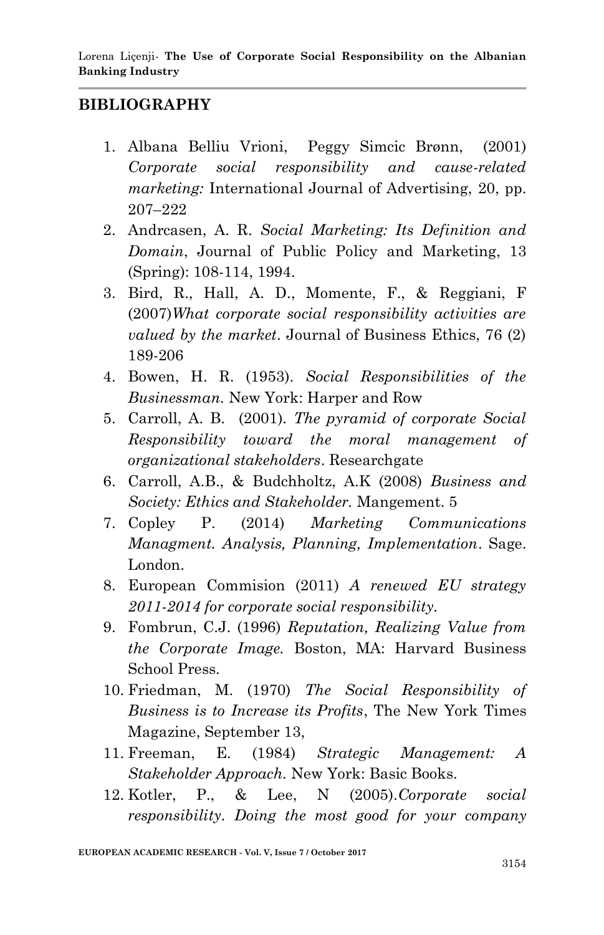### **BIBLIOGRAPHY**

- 1. Albana Belliu Vrioni, Peggy Simcic Brønn, (2001) *Corporate social responsibility and cause-related marketing:* International Journal of Advertising, 20, pp. 207–222
- 2. Andrcasen, A. R. *Social Marketing: Its Definition and Domain*, Journal of Public Policy and Marketing, 13 (Spring): 108-114, 1994.
- 3. Bird, R., Hall, A. D., Momente, F., & Reggiani, F (2007)*What corporate social responsibility activities are valued by the market*. Journal of Business Ethics, 76 (2) 189-206
- 4. Bowen, H. R. (1953). *Social Responsibilities of the Businessman.* New York: Harper and Row
- 5. Carroll, A. B. (2001). *The pyramid of corporate Social Responsibility toward the moral management of organizational stakeholders*. Researchgate
- 6. Carroll, A.B., & Budchholtz, A.K (2008) *Business and Society: Ethics and Stakeholder.* Mangement. 5
- 7. Copley P. (2014) *Marketing Communications Managment. Analysis, Planning, Implementation*. Sage. London.
- 8. European Commision (2011) *A renewed EU strategy 2011-2014 for corporate social responsibility.*
- 9. Fombrun, C.J. (1996) *Reputation, Realizing Value from the Corporate Image.* Boston, MA: Harvard Business School Press.
- 10. Friedman, M. (1970) *The Social Responsibility of Business is to Increase its Profits*, The New York Times Magazine, September 13,
- 11. Freeman, E. (1984) *Strategic Management: A Stakeholder Approach.* New York: Basic Books.
- 12. Kotler, P., & Lee, N (2005).*Corporate social responsibility. Doing the most good for your company*